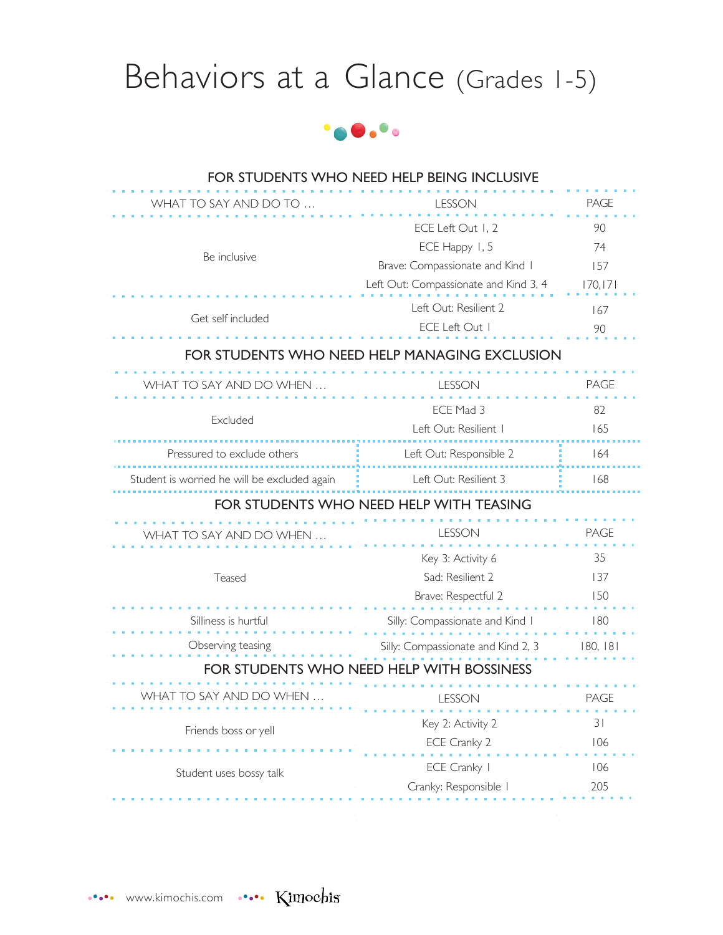# Behaviors at a Glance (Grades 1-5)



| <b>PAGE</b><br>WHAT TO SAY AND DO TO<br><b>LESSON</b>                        |  |  |
|------------------------------------------------------------------------------|--|--|
|                                                                              |  |  |
| 90<br>ECE Left Out 1, 2                                                      |  |  |
| ECE Happy 1, 5<br>74                                                         |  |  |
| Be inclusive<br>Brave: Compassionate and Kind I<br>157                       |  |  |
| 170, 171<br>Left Out: Compassionate and Kind 3, 4                            |  |  |
| Left Out: Resilient 2<br>167<br>Get self included                            |  |  |
| ECE Left Out I<br>90                                                         |  |  |
| FOR STUDENTS WHO NEED HELP MANAGING EXCLUSION                                |  |  |
| <b>PAGE</b><br>WHAT TO SAY AND DO WHEN<br><b>LESSON</b>                      |  |  |
| ECE Mad 3<br>82                                                              |  |  |
| Excluded<br>Left Out: Resilient I<br>165                                     |  |  |
| Pressured to exclude others<br>164<br>Left Out: Responsible 2                |  |  |
| Left Out: Resilient 3<br>168<br>Student is worried he will be excluded again |  |  |
| FOR STUDENTS WHO NEED HELP WITH TEASING                                      |  |  |
| <b>PAGE</b><br>LESSON<br>WHAT TO SAY AND DO WHEN                             |  |  |
| 35<br>Key 3: Activity 6                                                      |  |  |
| Sad: Resilient 2<br>137<br>Teased                                            |  |  |
| 150<br>Brave: Respectful 2                                                   |  |  |
| Silliness is hurtful<br>180<br>Silly: Compassionate and Kind I               |  |  |
| Observing teasing<br>Silly: Compassionate and Kind 2, 3<br>180, 181          |  |  |
| <b>FOR STUDENTS WHO</b><br><b>HELP WITH BOSSINESS</b>                        |  |  |
| SAY AND DO WHEN<br>LESSOIN<br>PAGE                                           |  |  |
| 31<br>Key 2: Activity 2<br>Friends boss or yell                              |  |  |
| 106<br>ECE Cranky 2                                                          |  |  |
| ECE Cranky I<br>106<br>Student uses bossy talk                               |  |  |
| 205<br>Cranky: Responsible                                                   |  |  |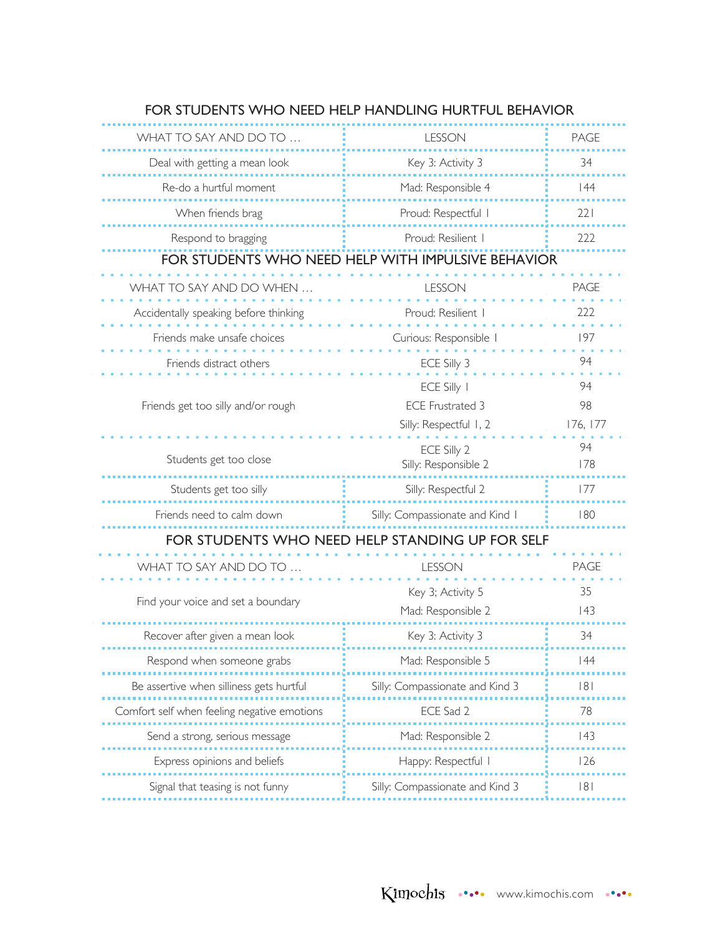| WHAT TO SAY AND DO TO                       | <b>LESSON</b>                                      | <b>PAGE</b> |
|---------------------------------------------|----------------------------------------------------|-------------|
| Deal with getting a mean look               | Key 3: Activity 3                                  | 34          |
| Re-do a hurtful moment                      | Mad: Responsible 4                                 | 44          |
| When friends brag                           | Proud: Respectful I                                | 221         |
| Respond to bragging                         | Proud: Resilient I                                 | 222         |
|                                             | FOR STUDENTS WHO NEED HELP WITH IMPULSIVE BEHAVIOR |             |
| WHAT TO SAY AND DO WHEN                     | <b>LESSON</b>                                      | <b>PAGE</b> |
| Accidentally speaking before thinking       | Proud: Resilient I                                 | 222         |
| Friends make unsafe choices                 | Curious: Responsible                               | 197         |
| Friends distract others                     | ECE Silly 3                                        | 94          |
|                                             | ECE Silly I                                        | 94          |
| Friends get too silly and/or rough          | <b>ECE Frustrated 3</b>                            | 98          |
|                                             | Silly: Respectful 1, 2                             | 176, 177    |
|                                             | ECE Silly 2                                        | 94          |
| Students get too close                      | Silly: Responsible 2                               | 178         |
| Students get too silly                      | Silly: Respectful 2                                | 177         |
| Friends need to calm down                   | Silly: Compassionate and Kind I                    | 180         |
|                                             | FOR STUDENTS WHO NEED HELP STANDING UP FOR SELF    |             |
| WHAT TO SAY AND DO TO                       | <b>LESSON</b>                                      | <b>PAGE</b> |
|                                             | Key 3; Activity 5                                  | 35          |
| Find your voice and set a boundary          | Mad: Responsible 2                                 | 43          |
| Recover after given a mean look             | Key 3: Activity 3                                  | 34          |
| Respond when someone grabs                  | Mad: Responsible 5                                 | 44          |
| Be assertive when silliness gets hurtful    | Silly: Compassionate and Kind 3                    | 8           |
| Comfort self when feeling negative emotions | ECE Sad 2                                          | 78          |
| Send a strong, serious message              | Mad: Responsible 2                                 | 43          |
| Express opinions and beliefs                | Happy: Respectful I                                | 126         |
| Signal that teasing is not funny            | Silly: Compassionate and Kind 3                    | 8           |
|                                             |                                                    |             |

### FOR STUDENTS WHO NEED HELP HANDLING HURTFUL BEHAVIOR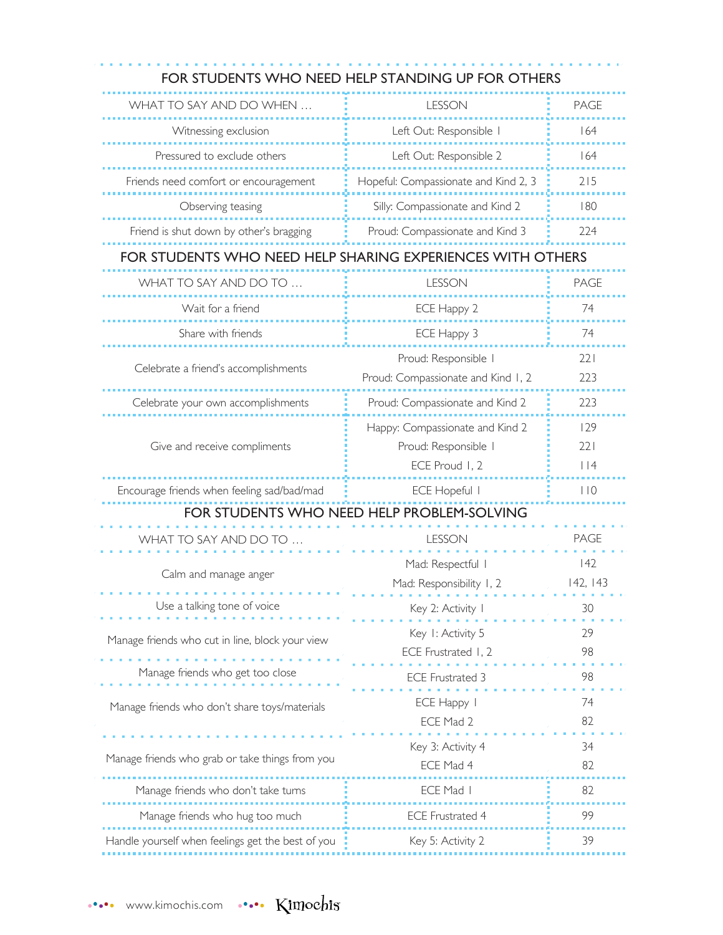## FOR STUDENTS WHO NEED HELP STANDING UP FOR OTHERS

| WHAT TO SAY AND DO WHEN                                      | LESSON                                                  | <b>PAGE</b>    |
|--------------------------------------------------------------|---------------------------------------------------------|----------------|
| Witnessing exclusion                                         | Left Out: Responsible I                                 | 164            |
| Pressured to exclude others                                  | Left Out: Responsible 2                                 | 164            |
| Friends need comfort or encouragement                        | Hopeful: Compassionate and Kind 2, 3                    | 215            |
| Observing teasing                                            | Silly: Compassionate and Kind 2                         | 180            |
| Friend is shut down by other's bragging                      | Proud: Compassionate and Kind 3                         | 224            |
| FOR STUDENTS WHO NEED HELP SHARING EXPERIENCES WITH OTHERS   |                                                         |                |
| WHAT TO SAY AND DO TO                                        | LESSON                                                  | <b>PAGE</b>    |
| Wait for a friend                                            | ECE Happy 2                                             | 74             |
| Share with friends                                           | ECE Happy 3                                             | 74             |
| Proud: Responsible I<br>Celebrate a friend's accomplishments |                                                         | 221<br>223     |
|                                                              | Proud: Compassionate and Kind 1, 2                      |                |
| Celebrate your own accomplishments                           | Proud: Compassionate and Kind 2                         | 223            |
| Give and receive compliments                                 | Happy: Compassionate and Kind 2<br>Proud: Responsible I | 129<br>221     |
|                                                              | ECE Proud 1, 2                                          | $ $   4        |
| Encourage friends when feeling sad/bad/mad                   | <b>ECE Hopeful I</b>                                    | 110            |
| FOR STUDENTS WHO NEED HELP PROBLEM-SOLVING                   |                                                         |                |
| WHAT TO SAY AND DO TO                                        | <b>LESSON</b>                                           | <b>PAGE</b>    |
| Calm and manage anger                                        | Mad: Respectful I<br>Mad: Responsibility 1, 2           | 42<br>142, 143 |
| Use a talking tone of voice<br>.                             | Key 2: Activity I                                       | 30             |
| Manage friends who cut in line, block your view              | Key I: Activity 5<br>ECE Frustrated 1, 2                | 29<br>98       |
| Manage friends who get too close                             | ECE Frustrated 3                                        | 98             |
| Manage friends who don't share toys/materials                | ECE Happy<br>ECE Mad 2                                  | 74<br>82       |
|                                                              | Key 3: Activity 4                                       | 34             |
| Manage friends who grab or take things from you              | ECE Mad 4                                               | 82             |
| Manage friends who don't take turns                          | ECE Mad I                                               | 82             |
| Manage friends who hug too much                              | <b>ECE Frustrated 4</b>                                 | 99             |
| Handle yourself when feelings get the best of you            | Key 5: Activity 2                                       | 39             |
|                                                              |                                                         |                |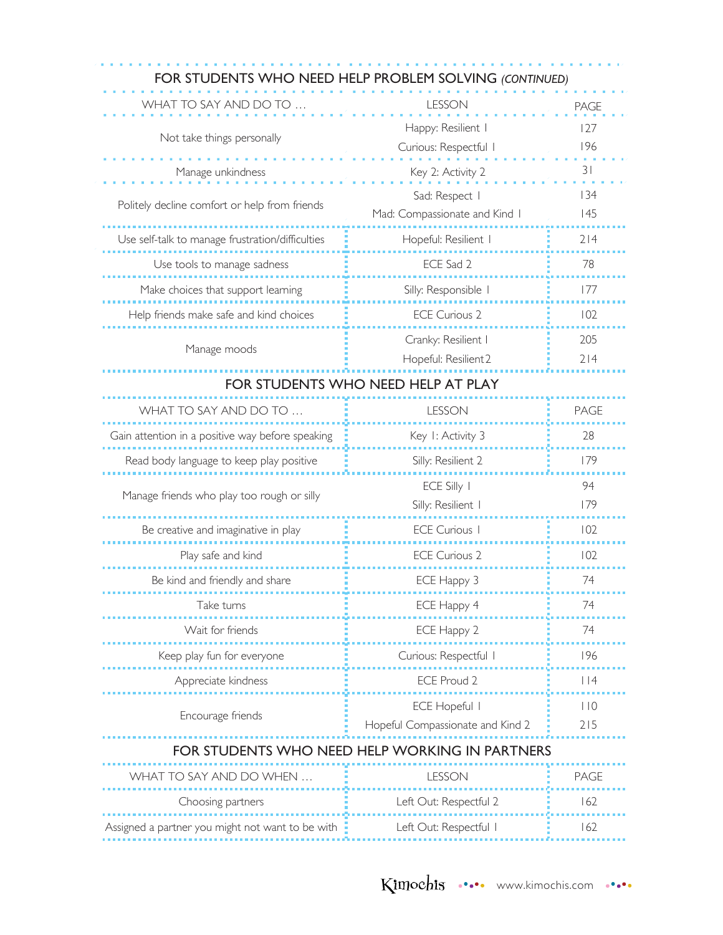| FOR STUDENTS WHO NEED HELP PROBLEM SOLVING (CONTINUED) |                                                          |                  |
|--------------------------------------------------------|----------------------------------------------------------|------------------|
| WHAT TO SAY AND DO TO                                  | <b>LESSON</b>                                            | <b>PAGE</b>      |
| Not take things personally                             | Happy: Resilient I<br>Curious: Respectful I              | 127<br>196       |
| Manage unkindness                                      | Key 2: Activity 2                                        | 31               |
| Politely decline comfort or help from friends          | Sad: Respect  <br>Mad: Compassionate and Kind I          | 134<br>145       |
| Use self-talk to manage frustration/difficulties       | Hopeful: Resilient I                                     | 214              |
| Use tools to manage sadness                            | ECE Sad 2                                                | 78               |
| Make choices that support learning                     | Silly: Responsible I                                     | 177              |
| Help friends make safe and kind choices                | <b>ECE Curious 2</b>                                     | 102              |
| Manage moods                                           | Cranky: Resilient I<br>Hopeful: Resilient 2              | 205<br>214       |
|                                                        | FOR STUDENTS WHO NEED HELP AT PLAY                       |                  |
| WHAT TO SAY AND DO TO                                  | <b>LESSON</b>                                            | PAGE             |
| Gain attention in a positive way before speaking       | Key I: Activity 3                                        | 28               |
| Read body language to keep play positive               | Silly: Resilient 2                                       | 179              |
| Manage friends who play too rough or silly             | ECE Silly 1<br>Silly: Resilient I                        | 94<br>179        |
| Be creative and imaginative in play                    | <b>ECE Curious I</b>                                     | 102              |
| Play safe and kind                                     | <b>ECE Curious 2</b>                                     | 102              |
| Be kind and friendly and share                         | ECE Happy 3                                              | 74               |
| Take turns                                             | ECE Happy 4                                              | 74               |
| Wait for friends                                       | ECE Happy 2                                              | 74               |
| Keep play fun for everyone                             | Curious: Respectful I                                    | 196              |
| Appreciate kindness                                    | ECE Proud 2                                              | $ $  4           |
| Encourage friends                                      | <b>ECE Hopeful I</b><br>Hopeful Compassionate and Kind 2 | $ $ $ $ 0<br>215 |
| FOR STUDENTS WHO NEED HELP WORKING IN PARTNERS         |                                                          |                  |
| WHAT TO SAY AND DO WHEN                                | <b>LESSON</b>                                            | <b>PAGE</b>      |
| Choosing partners                                      | Left Out: Respectful 2                                   | 162              |
| Assigned a partner you might not want to be with       | Left Out: Respectful I                                   | 162              |
|                                                        |                                                          |                  |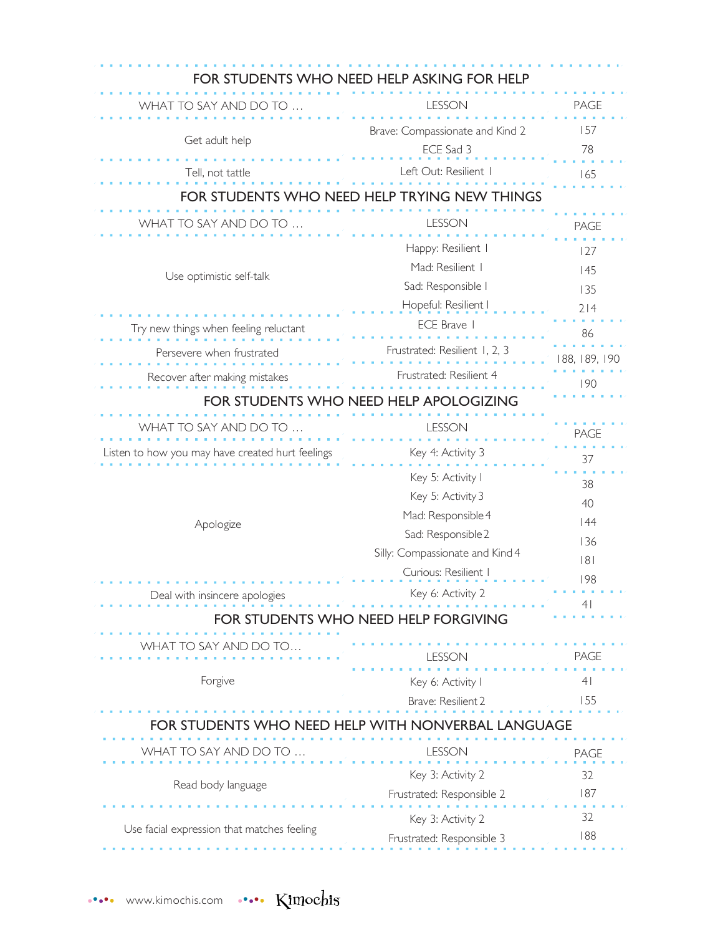| FOR STUDENTS WHO NEED HELP ASKING FOR HELP         |                                        |                |  |
|----------------------------------------------------|----------------------------------------|----------------|--|
| WHAT TO SAY AND DO TO                              | <b>LESSON</b>                          | <b>PAGE</b>    |  |
|                                                    | Brave: Compassionate and Kind 2        | 157            |  |
| Get adult help                                     | ECE Sad 3                              | 78             |  |
| Tell, not tattle                                   | Left Out: Resilient I                  | 165            |  |
| FOR STUDENTS WHO                                   | TRYING NEW THINGS                      |                |  |
| WHAT TO SAY AND DO TO                              | <b>LESSON</b>                          | <b>PAGE</b>    |  |
|                                                    | Happy: Resilient I                     |                |  |
|                                                    | Mad: Resilient I                       | 127            |  |
| Use optimistic self-talk                           | Sad: Responsible I                     | 145            |  |
|                                                    | Hopeful: Resilient I                   | 135<br>214     |  |
| Try new things when feeling reluctant              | ECE Brave I                            |                |  |
|                                                    | Frustrated: Resilient 1, 2, 3          | 86             |  |
| Persevere when frustrated                          |                                        | 188, 189, 190  |  |
| Recover after making mistakes                      | Frustrated: Resilient 4                | 190            |  |
|                                                    | FOR STUDENTS WHO NEED HELP APOLOGIZING |                |  |
| WHAT TO SAY AND DO TO                              | <b>LESSON</b>                          | <b>PAGE</b>    |  |
| Listen to how you may have created hurt feelings   | Key 4: Activity 3                      | 37             |  |
|                                                    | Key 5: Activity I                      |                |  |
|                                                    | Key 5: Activity 3                      | 38             |  |
|                                                    | Mad: Responsible 4                     | 40             |  |
| Apologize                                          | Sad: Responsible 2                     | 44             |  |
|                                                    | Silly: Compassionate and Kind 4        | 136            |  |
|                                                    | Curious: Resilient I                   | 8              |  |
| Deal with insincere apologies                      | Key 6: Activity 2                      | 198            |  |
|                                                    | FOR STUDENTS WHO NEED HELP FORGIVING   | 41             |  |
|                                                    |                                        |                |  |
| WHAT TO SAY AND DO TO                              | ESSON                                  | PAGE           |  |
| Forgive                                            | Key 6: Activity I                      | 4 <sub>1</sub> |  |
|                                                    | Brave: Resilient 2                     | 155            |  |
| FOR STUDENTS WHO NEED HELP WITH NONVERBAL LANGUAGE |                                        |                |  |
|                                                    |                                        |                |  |
| WHAT TO SAY AND DO TO                              | <b>LESSON</b>                          | <b>PAGE</b>    |  |
| Read body language                                 | Key 3: Activity 2                      | 32             |  |
|                                                    | Frustrated: Responsible 2              | 187            |  |
| Use facial expression that matches feeling         | Key 3: Activity 2                      | 32             |  |
|                                                    | Frustrated: Responsible 3              | 188            |  |